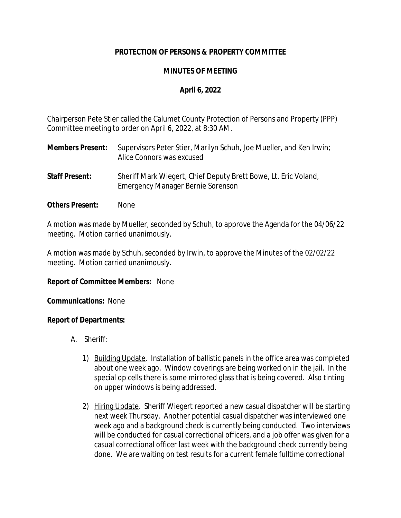# **PROTECTION OF PERSONS & PROPERTY COMMITTEE**

## **MINUTES OF MEETING**

## **April 6, 2022**

Chairperson Pete Stier called the Calumet County Protection of Persons and Property (PPP) Committee meeting to order on April 6, 2022, at 8:30 AM.

- **Members Present:** Supervisors Peter Stier, Marilyn Schuh, Joe Mueller, and Ken Irwin; Alice Connors was excused
- **Staff Present:** Sheriff Mark Wiegert, Chief Deputy Brett Bowe, Lt. Eric Voland, Emergency Manager Bernie Sorenson
- **Others Present:** None

A motion was made by Mueller, seconded by Schuh, to approve the Agenda for the 04/06/22 meeting. Motion carried unanimously.

A motion was made by Schuh, seconded by Irwin, to approve the Minutes of the 02/02/22 meeting. Motion carried unanimously.

### **Report of Committee Members:** None

**Communications:** None

### **Report of Departments:**

- A. Sheriff:
	- 1) Building Update. Installation of ballistic panels in the office area was completed about one week ago. Window coverings are being worked on in the jail. In the special op cells there is some mirrored glass that is being covered. Also tinting on upper windows is being addressed.
	- 2) Hiring Update. Sheriff Wiegert reported a new casual dispatcher will be starting next week Thursday. Another potential casual dispatcher was interviewed one week ago and a background check is currently being conducted. Two interviews will be conducted for casual correctional officers, and a job offer was given for a casual correctional officer last week with the background check currently being done. We are waiting on test results for a current female fulltime correctional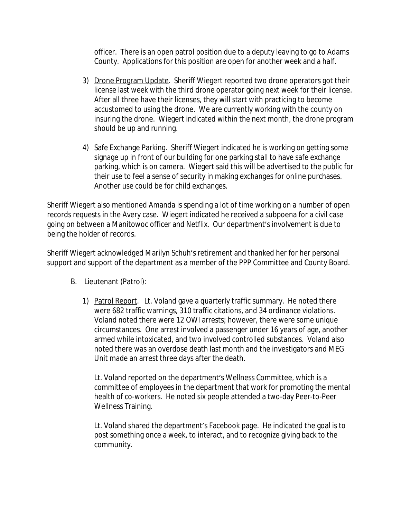officer. There is an open patrol position due to a deputy leaving to go to Adams County. Applications for this position are open for another week and a half.

- 3) Drone Program Update. Sheriff Wiegert reported two drone operators got their license last week with the third drone operator going next week for their license. After all three have their licenses, they will start with practicing to become accustomed to using the drone. We are currently working with the county on insuring the drone. Wiegert indicated within the next month, the drone program should be up and running.
- 4) Safe Exchange Parking. Sheriff Wiegert indicated he is working on getting some signage up in front of our building for one parking stall to have safe exchange parking, which is on camera. Wiegert said this will be advertised to the public for their use to feel a sense of security in making exchanges for online purchases. Another use could be for child exchanges.

Sheriff Wiegert also mentioned Amanda is spending a lot of time working on a number of open records requests in the Avery case. Wiegert indicated he received a subpoena for a civil case going on between a Manitowoc officer and Netflix. Our department's involvement is due to being the holder of records.

Sheriff Wiegert acknowledged Marilyn Schuh's retirement and thanked her for her personal support and support of the department as a member of the PPP Committee and County Board.

- B. Lieutenant (Patrol):
	- 1) Patrol Report. Lt. Voland gave a quarterly traffic summary. He noted there were 682 traffic warnings, 310 traffic citations, and 34 ordinance violations. Voland noted there were 12 OWI arrests; however, there were some unique circumstances. One arrest involved a passenger under 16 years of age, another armed while intoxicated, and two involved controlled substances. Voland also noted there was an overdose death last month and the investigators and MEG Unit made an arrest three days after the death.

Lt. Voland reported on the department's Wellness Committee, which is a committee of employees in the department that work for promoting the mental health of co-workers. He noted six people attended a two-day Peer-to-Peer Wellness Training.

Lt. Voland shared the department's Facebook page. He indicated the goal is to post something once a week, to interact, and to recognize giving back to the community.